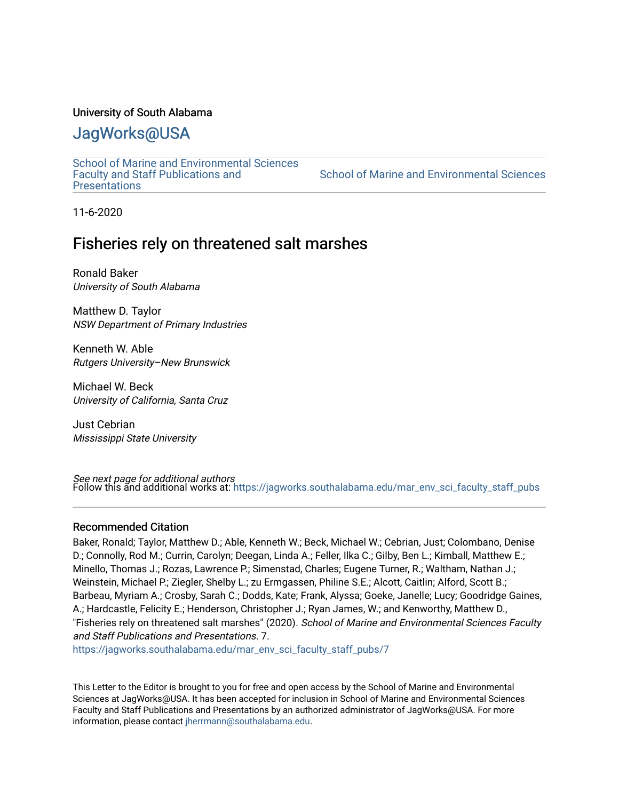#### University of South Alabama

## [JagWorks@USA](https://jagworks.southalabama.edu/)

[School of Marine and Environmental Sciences](https://jagworks.southalabama.edu/mar_env_sci_faculty_staff_pubs)  [Faculty and Staff Publications and](https://jagworks.southalabama.edu/mar_env_sci_faculty_staff_pubs)  **Presentations** 

[School of Marine and Environmental Sciences](https://jagworks.southalabama.edu/mar_env_sci) 

11-6-2020

### Fisheries rely on threatened salt marshes

Ronald Baker University of South Alabama

Matthew D. Taylor NSW Department of Primary Industries

Kenneth W. Able Rutgers University–New Brunswick

Michael W. Beck University of California, Santa Cruz

Just Cebrian Mississippi State University

*See next page for additional authors*<br>Follow this and additional works at: [https://jagworks.southalabama.edu/mar\\_env\\_sci\\_faculty\\_staff\\_pubs](https://jagworks.southalabama.edu/mar_env_sci_faculty_staff_pubs?utm_source=jagworks.southalabama.edu%2Fmar_env_sci_faculty_staff_pubs%2F7&utm_medium=PDF&utm_campaign=PDFCoverPages)

#### Recommended Citation

Baker, Ronald; Taylor, Matthew D.; Able, Kenneth W.; Beck, Michael W.; Cebrian, Just; Colombano, Denise D.; Connolly, Rod M.; Currin, Carolyn; Deegan, Linda A.; Feller, Ilka C.; Gilby, Ben L.; Kimball, Matthew E.; Minello, Thomas J.; Rozas, Lawrence P.; Simenstad, Charles; Eugene Turner, R.; Waltham, Nathan J.; Weinstein, Michael P.; Ziegler, Shelby L.; zu Ermgassen, Philine S.E.; Alcott, Caitlin; Alford, Scott B.; Barbeau, Myriam A.; Crosby, Sarah C.; Dodds, Kate; Frank, Alyssa; Goeke, Janelle; Lucy; Goodridge Gaines, A.; Hardcastle, Felicity E.; Henderson, Christopher J.; Ryan James, W.; and Kenworthy, Matthew D., "Fisheries rely on threatened salt marshes" (2020). School of Marine and Environmental Sciences Faculty and Staff Publications and Presentations. 7.

[https://jagworks.southalabama.edu/mar\\_env\\_sci\\_faculty\\_staff\\_pubs/7](https://jagworks.southalabama.edu/mar_env_sci_faculty_staff_pubs/7?utm_source=jagworks.southalabama.edu%2Fmar_env_sci_faculty_staff_pubs%2F7&utm_medium=PDF&utm_campaign=PDFCoverPages)

This Letter to the Editor is brought to you for free and open access by the School of Marine and Environmental Sciences at JagWorks@USA. It has been accepted for inclusion in School of Marine and Environmental Sciences Faculty and Staff Publications and Presentations by an authorized administrator of JagWorks@USA. For more information, please contact [jherrmann@southalabama.edu.](mailto:jherrmann@southalabama.edu)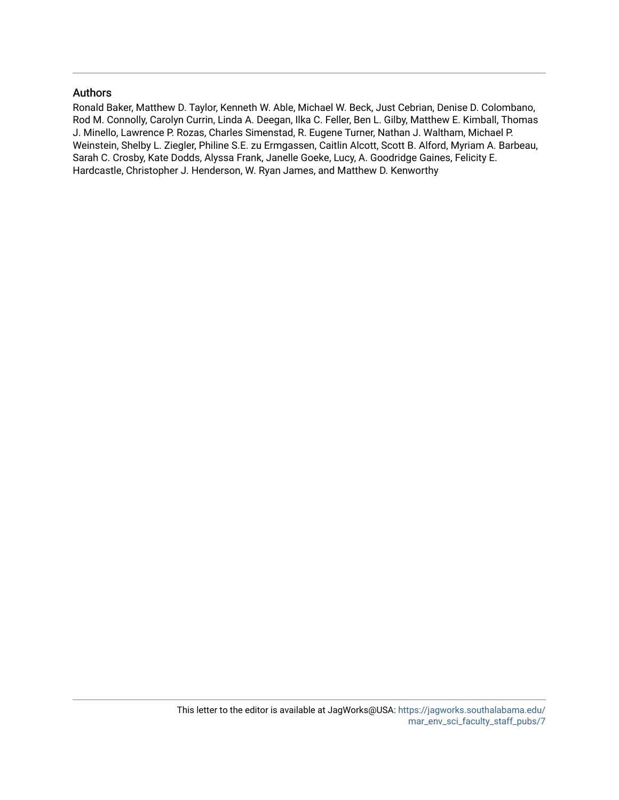#### Authors

Ronald Baker, Matthew D. Taylor, Kenneth W. Able, Michael W. Beck, Just Cebrian, Denise D. Colombano, Rod M. Connolly, Carolyn Currin, Linda A. Deegan, Ilka C. Feller, Ben L. Gilby, Matthew E. Kimball, Thomas J. Minello, Lawrence P. Rozas, Charles Simenstad, R. Eugene Turner, Nathan J. Waltham, Michael P. Weinstein, Shelby L. Ziegler, Philine S.E. zu Ermgassen, Caitlin Alcott, Scott B. Alford, Myriam A. Barbeau, Sarah C. Crosby, Kate Dodds, Alyssa Frank, Janelle Goeke, Lucy, A. Goodridge Gaines, Felicity E. Hardcastle, Christopher J. Henderson, W. Ryan James, and Matthew D. Kenworthy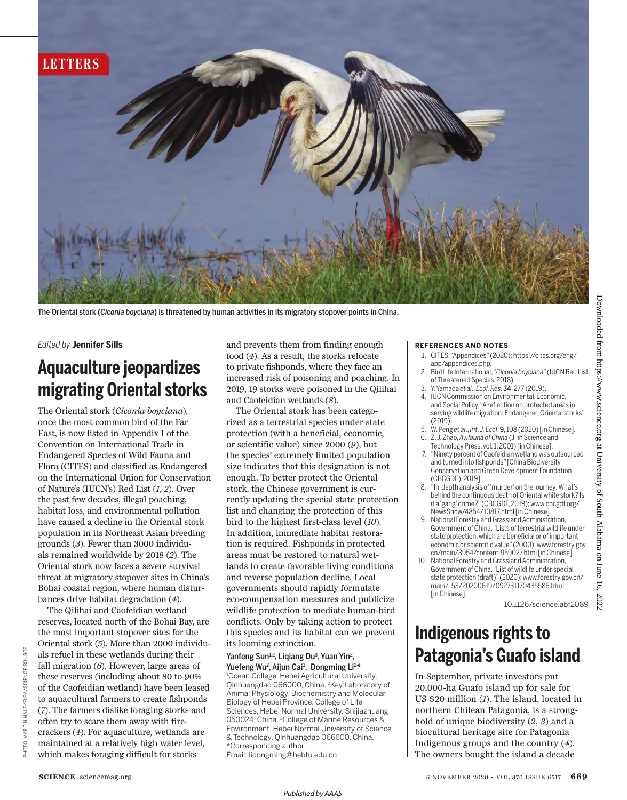

The Oriental stork (*Ciconia boyciana*) is threatened by human activities in its migratory stopover points in China.

#### *Edited by* **Jennifer Sills**

## **Aquaculture jeopardizes migrating Oriental storks**

The Oriental stork (*Ciconia bouciana*), once the most common bird of the Far East, is now listed in Appendix I of the Convention on International Trade in Endangered Species of Wild Fauna and Flora (CITES) and classified as Endangered on the International Union for Conservation of Nature's (IUCN's) Red List (*1*, *2*). Over the past few decades, illegal poaching, habitat loss, and environmental pollution have caused a decline in the Oriental stork population in its Northeast Asian breeding grounds (*3*). Fewer than 3000 individuals remained worldwide by 2018 (*2*). The Oriental stork now faces a severe survival threat at migratory stopover sites in China's Bohai coastal region, where human disturbances drive habitat degradation (*4*).

The Qilihai and Caofeidian wetland reserves, located north of the Bohai Bay, are the most important stopover sites for the Oriental stork (*5*). More than 2000 individuals refuel in these wetlands during their fall migration (*6*). However, large areas of these reserves (including about 80 to 90% of the Caofeidian wetland) have been leased to aquacultural farmers to create fishponds (*7*). The farmers dislike foraging storks and often try to scare them away with firecrackers (*4*). For aquaculture, wetlands are maintained at a relatively high water level, which makes foraging difficult for storks

and prevents them from finding enough food (*4*). As a result, the storks relocate to private fishponds, where they face an increased risk of poisoning and poaching. In 2019, 19 storks were poisoned in the Qilihai and Caofeidian wetlands (*8*).

 The Oriental stork has been categorized as a terrestrial species under state protection (with a beneficial, economic, or scientific value) since 2000 (*9*), but the species' extremely limited population size indicates that this designation is not enough. To better protect the Oriental stork, the Chinese government is currently updating the special state protection list and changing the protection of this bird to the highest first-class level (*10*). In addition, immediate habitat restoration is required. Fishponds in protected areas must be restored to natural wetlands to create favorable living conditions and reverse population decline. Local governments should rapidly formulate eco-compensation measures and publicize wildlife protection to mediate human-bird conflicts. Only by taking action to protect this species and its habitat can we prevent its looming extinction.

#### Yanfeng Sun<sup>1,2</sup>, Liqiang Du<sup>3</sup>, Yuan Yin<sup>2</sup>, Yuefeng Wu<sup>2</sup>, Aijun Cai<sup>3</sup>, Dongming Li<sup>2\*</sup> <sup>1</sup>Ocean College, Hebei Agricultural University, Qinhuangdao 066000, China. <sup>2</sup>Key Laboratory of Animal Physiology, Biochemistry and Molecular Biology of Hebei Province, College of Life Sciences, Hebei Normal University, Shijiazhuang 050024, China. <sup>3</sup>College of Marine Resources & Environment, Hebei Normal University of Science & Technology, Qinhuangdao 066600, China. \*Corresponding author. Email: lidongming@hebtu.edu.cn

#### **REFERENCES AND NOTES**

- 1. CITES, "Appendices" (2020); https://cites.org/eng/ app/appendices.php.
- 2. BirdLife International, "*Ciconia boyciana*" (IUCN Red List of Threatened Species, 2018).
- 3. Y. Yamada *et al*., *Ecol. Res*. 34, 277 (2019).
- 4. IUCN Commission on Environmental, Economic, and Social Policy, "A reflection on protected areas in serving wildlife migration: Endangered Oriental storks"  $(2019)$
- 5. W. Peng *et al*., *Int. J. Ecol*. 9, 108 (2020) [in Chinese]. 6. Z. J. Zhao, *Avifauna of China* (Jilin Science and
- Technology Press, vol. 1, 2001) [in Chinese].
- 7. " Ninety percent of Caofeidian wetland was outsourced and turned into fishponds" [China Biodiversity Conservation and Green Development Foundation (CBCGDF), 2019].
- 8. "In-depth analysis of 'murder' on the journey: What's behind the continuous death of Oriental white stork? Is it a 'gang' crime?" (CBCGDF, 2019); www.cbcgdf.org/ NewsShow/4854/10817.html [in Chinese].
- 9. National Forestry and Grassland Administration, Government of China, "Lists of terrestrial wildlife under state protection, which are beneficial or of important economic or scientific value" (2000); www.forestry.gov. cn/main/3954/content-959027.html [in Chinese].
- 10. National Forestry and Grassland Administration, Government of China, "List of wildlife under special state protection (draft)" (2020); www.forestry.gov.cn/ main/153/20200619/092731170435586.html [in Chinese].

10.1126/science.abf2089

## **Indigenous rights to Patagonia's Guafo island**

In September, private investors put 20,000-ha Guafo island up for sale for US \$20 million (*1*). The island, located in northern Chilean Patagonia, is a stronghold of unique biodiversity (*2*, *3*) and a biocultural heritage site for Patagonia Indigenous groups and the country (*4*). The owners bought the island a decade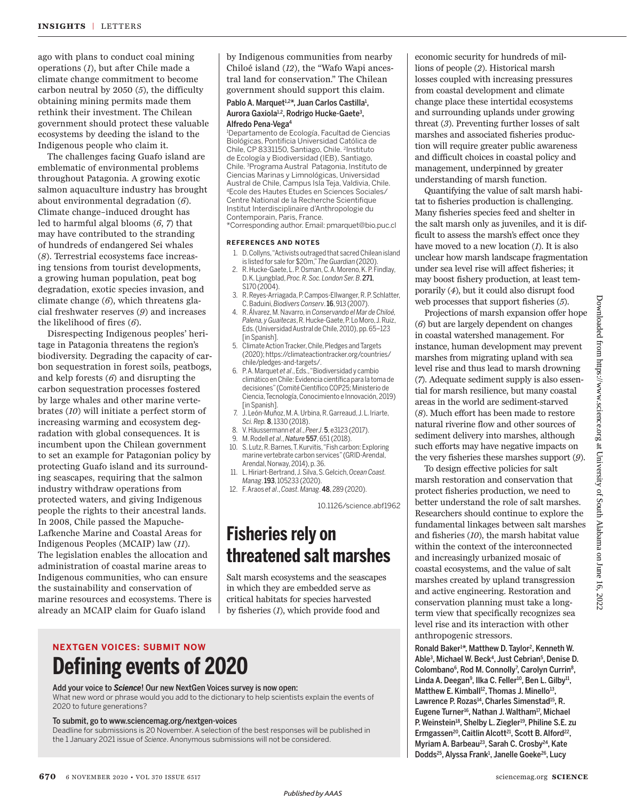ago with plans to conduct coal mining operations (*1*), but after Chile made a climate change commitment to become carbon neutral by 2050 (*5*), the difficulty obtaining mining permits made them rethink their investment. The Chilean government should protect these valuable ecosystems by deeding the island to the Indigenous people who claim it.

The challenges facing Guafo island are emblematic of environmental problems throughout Patagonia. A growing exotic salmon aquaculture industry has brought about environmental degradation (*6*). Climate change–induced drought has led to harmful algal blooms (*6*, *7*) that may have contributed to the stranding of hundreds of endangered Sei whales (*8*). Terrestrial ecosystems face increasing tensions from tourist developments, a growing human population, peat bog degradation, exotic species invasion, and climate change (*6*), which threatens glacial freshwater reserves (*9*) and increases the likelihood of fires (*6*).

Disrespecting Indigenous peoples' heritage in Patagonia threatens the region's biodiversity. Degrading the capacity of carbon sequestration in forest soils, peatbogs, and kelp forests (*6*) and disrupting the carbon sequestration processes fostered by large whales and other marine vertebrates (*10*) will initiate a perfect storm of increasing warming and ecosystem degradation with global consequences. It is incumbent upon the Chilean government to set an example for Patagonian policy by protecting Guafo island and its surrounding seascapes, requiring that the salmon industry withdraw operations from protected waters, and giving Indigenous people the rights to their ancestral lands. In 2008, Chile passed the Mapuche-Lafkenche Marine and Coastal Areas for Indigenous Peoples (MCAIP) law (*11*). The legislation enables the allocation and administration of coastal marine areas to Indigenous communities, who can ensure the sustainability and conservation of marine resources and ecosystems. There is already an MCAIP claim for Guafo island

by Indigenous communities from nearby Chiloé island (*12*), the "Wafo Wapi ancestral land for conservation." The Chilean government should support this claim.

#### Pablo A. Marquet<sup>1,2\*</sup>, Juan Carlos Castilla<sup>1</sup>, Aurora Gaxiola<sup>1,2</sup>, Rodrigo Hucke-Gaete<sup>3</sup>, Alfredo Pena-Vega<sup>4</sup>

<sup>1</sup>Departamento de Ecología, Facultad de Ciencias Biológicas, Pontificia Universidad Católica de Chile, CP 8331150, Santiago, Chile. <sup>2</sup> Instituto de Ecología y Biodiversidad (IEB), Santiago, Chile. <sup>3</sup>Programa Austral Patagonia, Instituto de Ciencias Marinas y Limnológicas, Universidad Austral de Chile, Campus Isla Teja, Valdivia, Chile. <sup>4</sup>Ecole des Hautes Etudes en Sciences Sociales/ Centre National de la Recherche Scientifique Institut Interdisciplinaire d'Anthropologie du Contemporain, Paris, France.

\*Corresponding author. Email: pmarquet@bio.puc.cl

#### **REFERENCES AND NOTES**

- 1. D. Collyns, "Activists outraged that sacred Chilean island is listed for sale for \$20m," *The Guardian* (2020).
- 2. R. Hucke-Gaete, L. P. Osman, C. A. Moreno, K. P. Findlay, D. K. Ljungblad, *Proc. R. Soc. London Ser. B*. 271, S170 (2004).
- 3. R. Reyes-Arriagada, P. Campos-Ellwanger, R. P. Schlatter, C. Baduini, *Biodivers Conserv*. 16, 913 (2007).
- 4. R. Álvarez, M. Navarro, in *Conservando el Mar de Chiloé, Palena, y Guaitecas*, R. Hucke-Gaete, P. Lo Moro, J. Ruiz, Eds. (Universidad Austral de Chile, 2010), pp. 65–123 [in Spanish].
- 5. Climate Action Tracker, Chile, Pledges and Targets (2020); https://climateactiontracker.org/countries/ chile/pledges-and-targets/.
- 6. P. A. Marquet *et al*., Eds., "Biodiversidad y cambio climático en Chile: Evidencia científica para la toma de decisiones" (Comité Científico COP25; Ministerio de Ciencia, Tecnología, Conocimiento e Innovación, 2019) [in Spanish].
- 7. J. León-Muñoz, M. A. Urbina, R. Garreaud, J. L. Iriarte, *Sci. Rep.* 8, 1330 (2018).
- 8. V. Häussermann *et al*., *PeerJ*. 5, e3123 (2017).
- 9. M. Rodell *et al*., *Nature* 557, 651 (2018).
- 10. S. Lutz, R. Barnes, T. Kurvitis, "Fish carbon: Exploring marine vertebrate carbon services" (GRID-Arendal, Arendal, Norway, 2014), p. 36.
- 11. L. Hiriart-Bertrand, J. Silva, S. Gelcich, *Ocean Coast. Manag*. 193, 105233 (2020).
- 12. F. Araos *et al*., *Coast. Manag*. 48, 289 (2020).

10.1126/science.abf1962

## **Fisheries rely on threatened salt marshes**

Salt marsh ecosystems and the seascapes in which they are embedded serve as critical habitats for species harvested by fisheries (*1*), which provide food and

## **NEXTGEN VOICES: SUBMIT NOW Defining events of 2020**

Add your voice to *Science*! Our new NextGen Voices survey is now open: What new word or phrase would you add to the dictionary to help scientists explain the events of 2020 to future generations?

#### To submit, go to www.sciencemag.org/nextgen-voices

Deadline for submissions is 20 November. A selection of the best responses will be published in the 1 January 2021 issue of *Science*. Anonymous submissions will not be considered.

economic security for hundreds of millions of people (*2*). Historical marsh losses coupled with increasing pressures from coastal development and climate change place these intertidal ecosystems and surrounding uplands under growing threat (*3*). Preventing further losses of salt marshes and associated fisheries production will require greater public awareness and difficult choices in coastal policy and management, underpinned by greater understanding of marsh function.

Quantifying the value of salt marsh habitat to fisheries production is challenging. Many fisheries species feed and shelter in the salt marsh only as juveniles, and it is difficult to assess the marsh's effect once they have moved to a new location (*1*). It is also unclear how marsh landscape fragmentation under sea level rise will affect fisheries; it may boost fishery production, at least temporarily (*4*), but it could also disrupt food web processes that support fisheries (*5*).

Projections of marsh expansion offer hope (*6*) but are largely dependent on changes in coastal watershed management. For instance, human development may prevent marshes from migrating upland with sea level rise and thus lead to marsh drowning (*7*). Adequate sediment supply is also essential for marsh resilience, but many coastal areas in the world are sediment-starved (*8*). Much effort has been made to restore natural riverine flow and other sources of sediment delivery into marshes, although such efforts may have negative impacts on the very fisheries these marshes support (*9*).

To design effective policies for salt marsh restoration and conservation that protect fisheries production, we need to better understand the role of salt marshes. Researchers should continue to explore the fundamental linkages between salt marshes and fisheries (*10*), the marsh habitat value within the context of the interconnected and increasingly urbanized mosaic of coastal ecosystems, and the value of salt marshes created by upland transgression and active engineering. Restoration and conservation planning must take a longterm view that specifically recognizes sea level rise and its interaction with other anthropogenic stressors.

Ronald Baker<sup>1\*</sup>, Matthew D. Taylor<sup>2</sup>, Kenneth W. Able<sup>3</sup>, Michael W. Beck<sup>4</sup>, Just Cebrian<sup>5</sup>, Denise D. Colombano<sup>6</sup>, Rod M. Connolly<sup>7</sup>, Carolyn Currin<sup>8</sup>, Linda A. Deegan<sup>9</sup>, Ilka C. Feller<sup>10</sup>, Ben L. Gilby<sup>11</sup>, Matthew E. Kimball $^{12}$ , Thomas J. Minello $^{13}$ , Lawrence P. Rozas<sup>14</sup>, Charles Simenstad<sup>15</sup>, R. Eugene Turner<sup>16</sup>, Nathan J. Waltham<sup>17</sup>, Michael P. Weinstein<sup>18</sup>, Shelby L. Ziegler<sup>19</sup>, Philine S.E. zu Ermgassen<sup>20</sup>, Caitlin Alcott<sup>21</sup>, Scott B. Alford<sup>22</sup>, Myriam A. Barbeau<sup>23</sup>, Sarah C. Crosby<sup>24</sup>, Kate Dodds<sup>25</sup>, Alyssa Frank<sup>1</sup>, Janelle Goeke<sup>26</sup>, Lucy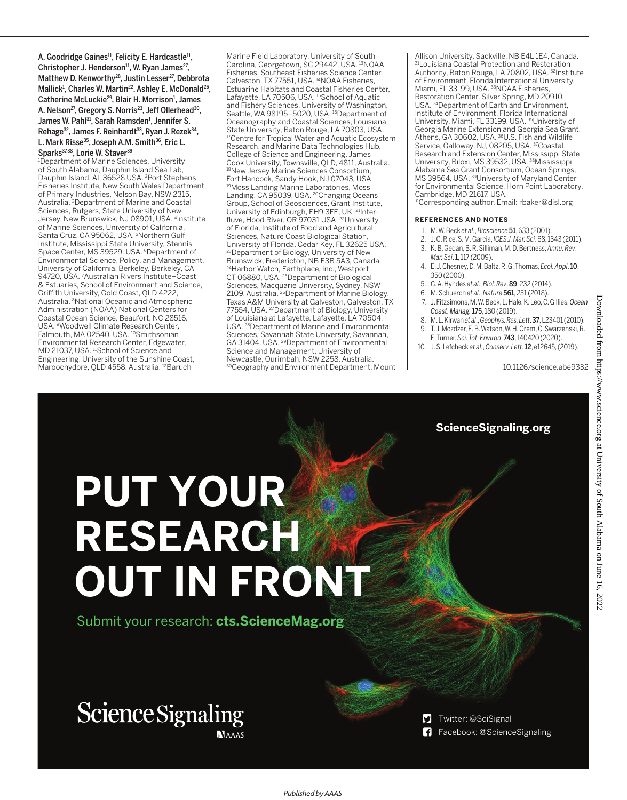A. Goodridge Gaines<sup>11</sup>, Felicity E. Hardcastle<sup>11</sup>, Christopher J. Henderson<sup>11</sup>, W. Ryan James<sup>27</sup>, Matthew D. Kenworthy<sup>28</sup>, Justin Lesser<sup>27</sup>, Debbrota Mallick<sup>1</sup>, Charles W. Martin<sup>22</sup>, Ashley E. McDonald<sup>26</sup>, Catherine McLuckie<sup>29</sup>, Blair H. Morrison<sup>1</sup>, James A. Nelson<sup>27</sup>, Gregory S. Norris<sup>23</sup>, Jeff Ollerhead<sup>30</sup>, James W. Pahl<sup>31</sup>, Sarah Ramsden<sup>1</sup>, Jennifer S. Rehage<sup>32</sup>, James F. Reinhardt<sup>33</sup>, Ryan J. Rezek<sup>34</sup>,

L. Mark Risse<sup>35</sup>, Joseph A.M. Smith<sup>36</sup>, Eric L. Sparks<sup>37,38</sup>, Lorie W. Staver<sup>39</sup>

<sup>1</sup>Department of Marine Sciences, University of South Alabama, Dauphin Island Sea Lab, Dauphin Island, AL 36528 USA. <sup>2</sup>Port Stephens Fisheries Institute, New South Wales Department of Primary Industries, Nelson Bay, NSW 2315, Australia. <sup>3</sup>Department of Marine and Coastal Sciences, Rutgers, State University of New Jersey, New Brunswick, NJ 08901, USA. <sup>4</sup> Institute of Marine Sciences, University of California, Santa Cruz, CA 95062, USA. <sup>5</sup>Northern Gulf Institute, Mississippi State University, Stennis Space Center, MS 39529, USA. <sup>6</sup>Department of Environmental Science, Policy, and Management, University of California, Berkeley, Berkeley, CA 94720, USA. <sup>7</sup>Australian Rivers Institute–Coast & Estuaries, School of Environment and Science, Griffith University, Gold Coast, QLD 4222, Australia. <sup>8</sup>National Oceanic and Atmospheric Administration (NOAA) National Centers for Coastal Ocean Science, Beaufort, NC 28516, USA. <sup>9</sup>Woodwell Climate Research Center, Falmouth, MA 02540, USA.<sup>10</sup>Smithsonian Environmental Research Center, Edgewater, MD 21037, USA. <sup>11</sup>School of Science and Engineering, University of the Sunshine Coast, Maroochydore, QLD 4558, Australia. <sup>12</sup>Baruch

Marine Field Laboratory, University of South Carolina, Georgetown, SC 29442, USA. <sup>13</sup>NOAA Fisheries, Southeast Fisheries Science Center, Galveston, TX 77551, USA.<sup>14</sup>NOAA Fisheries, Estuarine Habitats and Coastal Fisheries Center, Lafayette, LA 70506, USA. <sup>15</sup>School of Aquatic and Fishery Sciences, University of Washington, Seattle, WA 98195-5020, USA.<sup>16</sup>Department of Oceanography and Coastal Sciences, Louisiana State University, Baton Rouge, LA 70803, USA. <sup>17</sup>Centre for Tropical Water and Aquatic Ecosystem Research, and Marine Data Technologies Hub, College of Science and Engineering, James Cook University, Townsville, QLD, 4811, Australia. <sup>18</sup>New Jersey Marine Sciences Consortium, Fort Hancock, Sandy Hook, NJ 07043, USA. <sup>19</sup>Moss Landing Marine Laboratories, Moss Landing, CA 95039, USA. <sup>20</sup>Changing Oceans Group, School of Geosciences, Grant Institute,<br>University of Edinburgh, EH9 3FE, UK. <sup>21</sup>Interfluve, Hood River, OR 97031 USA. <sup>22</sup>University of Florida, Institute of Food and Agricultural Sciences, Nature Coast Biological Station, University of Florida, Cedar Key, FL 32625 USA. <sup>23</sup>Department of Biology, University of New Brunswick, Fredericton, NB E3B 5A3, Canada. <sup>24</sup>Harbor Watch, Earthplace, Inc., Westport, CT 06880, USA. <sup>25</sup>Department of Biological Sciences, Macquarie University, Sydney, NSW<br>2109, Australia. <sup>26</sup>Department of Marine Biology, Texas A&M University at Galveston, Galveston, TX 77554, USA. <sup>27</sup>Department of Biology, University of Louisiana at Lafayette, Lafayette, LA 70504, USA. <sup>28</sup>Department of Marine and Environmental Sciences, Savannah State University, Savannah, GA 31404, USA. <sup>29</sup>Department of Environmental Science and Management, University of Newcastle, Ourimbah, NSW 2258, Australia. 30Geography and Environment Department, Mount Allison University, Sackville, NB E4L 1E4, Canada. <sup>31</sup>Louisiana Coastal Protection and Restoration Authority, Baton Rouge, LA 70802, USA. 32Institute of Environment, Florida International University, Miami, FL 33199, USA. <sup>33</sup>NOAA Fisheries, Restoration Center, Silver Spring, MD 20910, USA. <sup>34</sup>Department of Earth and Environment, Institute of Environment, Florida International University, Miami, FL 33199, USA. <sup>35</sup>University of Georgia Marine Extension and Georgia Sea Grant,<br>Athens, GA 30602, USA. <sup>36</sup>U.S. Fish and Wildlife Service, Galloway, NJ, 08205, USA. <sup>37</sup>Coastal Research and Extension Center, Mississippi State University, Biloxi, MS 39532, USA. <sup>38</sup>Mississippi Alabama Sea Grant Consortium, Ocean Springs, MS 39564, USA. <sup>39</sup>University of Maryland Center for Environmental Science, Horn Point Laboratory, Cambridge, MD 21617, USA.

\*Corresponding author. Email: rbaker@disl.org

#### **REFERENCES AND NOTES**

- 1. M. W. Beck *et al*., *Bioscience* 51, 633 (2001).
- 2. J. C. Rice, S. M. Garcia, *ICES J. Mar. Sci*. 68, 1343 (2011).
- 3. K. B. Gedan, B. R. Silliman, M. D. Bertness, *Annu. Rev. Mar. Sci*. 1, 117 (2009).
- 4. E. J. Chesney, D. M. Baltz, R. G. Thomas, *Ecol. Appl*. 10, 350 (2000).
- 5. G. A. Hyndes *et al*., *Biol. Rev*. 89, 232 (2014).
- 6. M. Schuerch *et al*., *Nature* 561, 231 (2018).
- 7. J. Fitzsimons, M. W. Beck, L. Hale, K. Leo, C. Gillies, *Ocean*
- *Coast. Manag.*175, 180 (2019). 8. M. L. Kirwan *et al*., *Geophys. Res. Lett*. 37, L23401 (2010).
- 9. T. J. Mozdzer, E. B. Watson, W. H. Orem, C. Swarzenski, R.
- E. Turner, *Sci. Tot. Environ*. 743, 140420 (2020).
- 10. J. S. Lefcheck *et al*., *Conserv. Lett*. 12, e12645, (2019).

10.1126/science.abe9332

Downloaded from https://www.science.org at University of South Alabama on June 16, 2022Downloaded from https://www.science.org at University of South Alabama on June 16, 2022

#### **ScienceSignaling.org**

# **PUT YOUR RESEARCH OUT IN FRONT**

Submit your research: **cts.ScienceMag.org**

## **Science Signaling NAAAS**



Facebook: @ScienceSignaling